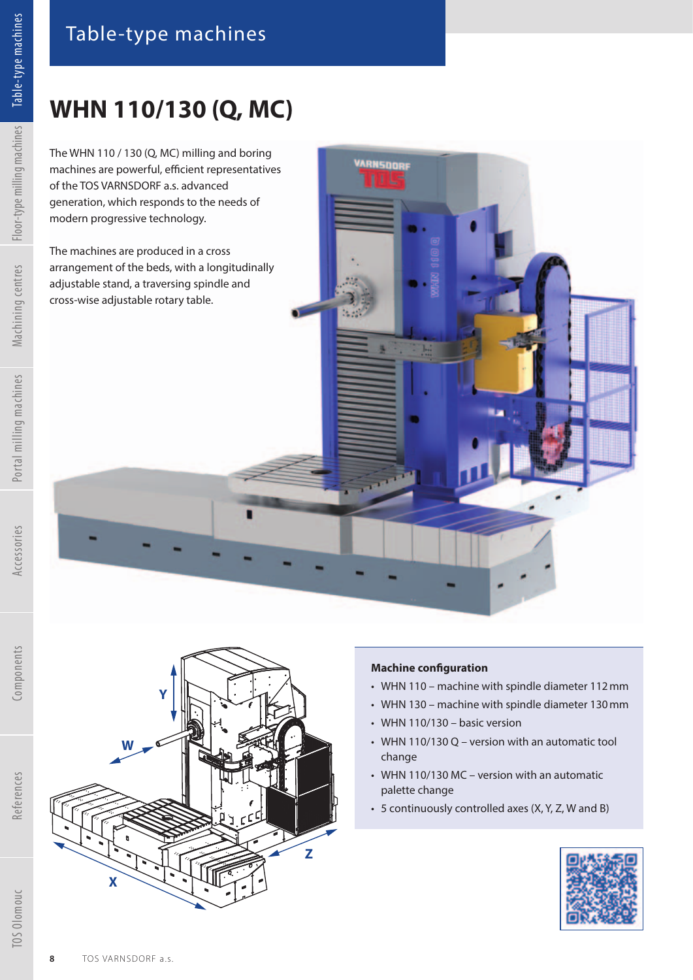The WHN 110 / 130 (Q, MC) milling and boring machines are powerful, efficient representatives of the TOS VARNSDORF a.s. advanced generation, which responds to the needs of modern progressive technology.

The machines are produced in a cross arrangement of the beds, with a longitudinally adjustable stand, a traversing spindle and cross-wise adjustable rotary table.

**Y**



**Z**

## **Machine configuration**

VARNSDORF

- WHN 110 machine with spindle diameter 112 mm
- WHN 130 machine with spindle diameter 130 mm
- WHN 110/130 basic version
- WHN 110/130 Q version with an automatic tool change
- WHN 110/130 MC version with an automatic palette change
- 5 continuously controlled axes (X, Y, Z, W and B)



References

TOS Olomouc

**X**

**W**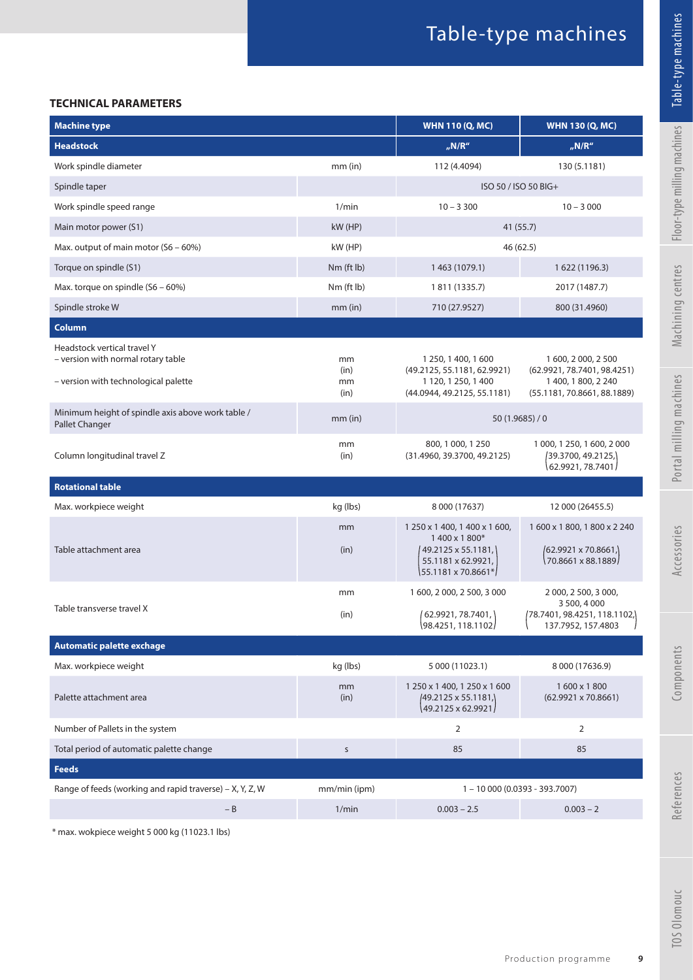## **TECHNICAL PARAMETERS**

| <b>Machine type</b>                                                                                       |                          | <b>WHN 110 (Q, MC)</b>                                                                                           | <b>WHN 130 (Q, MC)</b>                                                                                   |
|-----------------------------------------------------------------------------------------------------------|--------------------------|------------------------------------------------------------------------------------------------------------------|----------------------------------------------------------------------------------------------------------|
| <b>Headstock</b>                                                                                          |                          | n/N/R''                                                                                                          | $_{\prime\prime}$ N/R"                                                                                   |
| Work spindle diameter                                                                                     | $mm$ (in)                | 112 (4.4094)                                                                                                     | 130 (5.1181)                                                                                             |
| Spindle taper                                                                                             |                          | ISO 50 / ISO 50 BIG+                                                                                             |                                                                                                          |
| Work spindle speed range                                                                                  | 1/min                    | $10 - 3300$                                                                                                      | $10 - 3000$                                                                                              |
| Main motor power (S1)                                                                                     | kW (HP)                  | 41 (55.7)                                                                                                        |                                                                                                          |
| Max. output of main motor (S6 - 60%)                                                                      | kW (HP)                  | 46 (62.5)                                                                                                        |                                                                                                          |
| Torque on spindle (S1)                                                                                    | Nm (ft lb)               | 1463 (1079.1)                                                                                                    | 1 622 (1196.3)                                                                                           |
| Max. torque on spindle (S6 – 60%)                                                                         | Nm (ft lb)               | 1 811 (1335.7)                                                                                                   | 2017 (1487.7)                                                                                            |
| Spindle stroke W                                                                                          | $mm$ (in)                | 710 (27.9527)                                                                                                    | 800 (31.4960)                                                                                            |
| Column                                                                                                    |                          |                                                                                                                  |                                                                                                          |
| Headstock vertical travel Y<br>- version with normal rotary table<br>- version with technological palette | mm<br>(in)<br>mm<br>(in) | 1 250, 1 400, 1 600<br>(49.2125, 55.1181, 62.9921)<br>1 120, 1 250, 1 400<br>(44.0944, 49.2125, 55.1181)         | 1 600, 2 000, 2 500<br>(62.9921, 78.7401, 98.4251)<br>1 400, 1 800, 2 240<br>(55.1181, 70.8661, 88.1889) |
| Minimum height of spindle axis above work table /<br>Pallet Changer                                       | $mm$ (in)                | 50(1.9685)/0                                                                                                     |                                                                                                          |
| Column longitudinal travel Z                                                                              | mm<br>(in)               | 800, 1 000, 1 250<br>(31.4960, 39.3700, 49.2125)                                                                 | 1 000, 1 250, 1 600, 2 000<br>(39.3700, 49.2125,)<br>62.9921, 78.7401                                    |
| <b>Rotational table</b>                                                                                   |                          |                                                                                                                  |                                                                                                          |
| Max. workpiece weight                                                                                     | kg (lbs)                 | 8 000 (17637)                                                                                                    | 12 000 (26455.5)                                                                                         |
| Table attachment area                                                                                     | mm<br>(in)               | 1 250 x 1 400, 1 400 x 1 600,<br>1400 x 1800*<br>49.2125 x 55.1181,<br>55.1181 x 62.9921,<br>55.1181 x 70.8661*/ | 1600 x 1800, 1800 x 2240<br>(62.9921 x 70.8661,)<br>70.8661 x 88.1889                                    |
| Table transverse travel X                                                                                 | mm<br>(in)               | 1 600, 2 000, 2 500, 3 000<br>(62.9921, 78.7401, )<br>98.4251, 118.1102                                          | 2 000, 2 500, 3 000,<br>3 500, 4 000<br>(78.7401, 98.4251, 118.1102,)<br>137.7952, 157.4803              |
| <b>Automatic palette exchage</b>                                                                          |                          |                                                                                                                  |                                                                                                          |
| Max. workpiece weight                                                                                     | kg (lbs)                 | 5 000 (11023.1)                                                                                                  | 8 000 (17636.9)                                                                                          |
| Palette attachment area                                                                                   | mm<br>(in)               | 1 250 x 1 400, 1 250 x 1 600<br>49.2125 x 55.1181,<br>49.2125 x 62.9921/                                         | 1600 x 1800<br>$(62.9921 \times 70.8661)$                                                                |
| Number of Pallets in the system                                                                           |                          | $\overline{2}$                                                                                                   | $\overline{2}$                                                                                           |
| Total period of automatic palette change                                                                  | $\sf S$                  | 85                                                                                                               | 85                                                                                                       |
| <b>Feeds</b>                                                                                              |                          |                                                                                                                  |                                                                                                          |
| Range of feeds (working and rapid traverse) – X, Y, Z, W                                                  | mm/min (ipm)             | $1 - 10000(0.0393 - 393.7007)$                                                                                   |                                                                                                          |
| $- B$                                                                                                     | 1/min                    | $0.003 - 2.5$                                                                                                    | $0.003 - 2$                                                                                              |

\* max. wokpiece weight 5 000 kg (11023.1 lbs)

Table-type machines